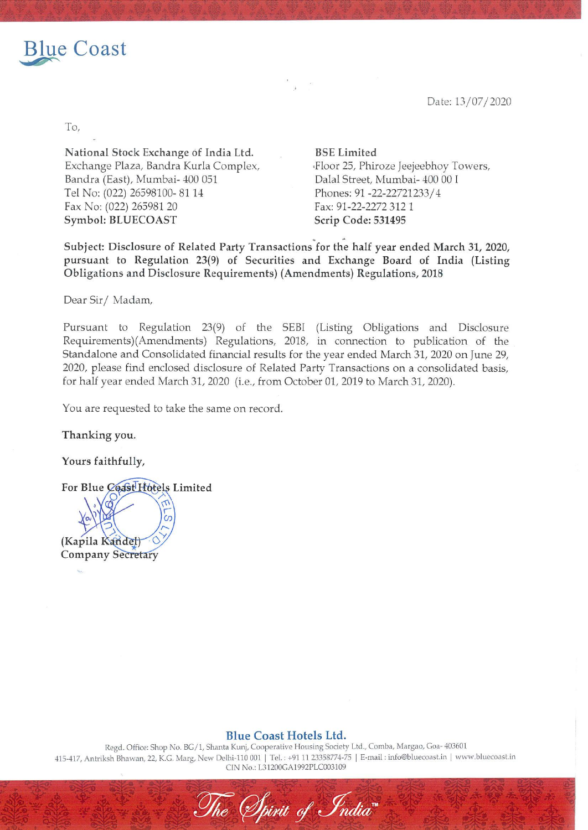

Date: 13/07/2020

To,

National Stock Exchange of India Ltd. BSE Limited Exchange Plaza, Bandra Kurla Complex, Floor 25, Phiroze Jeejeebhoy Towers, Bandra (East), Mumbai- 400 031 Dalal Street, Mumbai- 400 00 I Tel No: (022) 26598100- 81 14 Phones: 91 -22-22721233/4 Fax: 91-22-2272 312 1 Symbol: BLUECOAST Scrip Code: 531495

Subject: Disclosure of Related Party Transactions for the half year ended March 31, 2020, pursuant to Regulation 23(9) of Securities and Exchange Board of India (Listing Obligations and Disclosure Requirements) (Amendments) Regulations, 2018

Dear Sir/ Madam,

Pursuant to Regulation 23(9) of the SEBI (Listing Obligations and Disclosure Requirements)(Amendments) Regulations, 2018, in connection to publication of the Standalone and Consolidated financial results for the year ended March 31, 2020 on June 29, 2020, please find enclosed disclosure of Related Party Transactions on a consolidated basis, for half year ended March 31, 2020 (i.e., from October 01, 2019 to March 31, 2020).

You are requested to take the same on record.

Thanking you.

Yours faithfully,

For Blue Coast Hotels Limited

a (Kapila Kandel) **Company Secretary** 

Blue Coast Hotels Ltd.

Regd. Office: Shop No. BG/1, Shanta Kunj, Cooperative Housing Society Ltd., Comba, Margao, Goa- 403601 415-417, Antriksh Bhawan, 22, K.G. Marg, New Delhi-110 001 | Tel. : +91 11 23358774-75 | E-mail : info@bluecoast.in | www.bluecoast.in CIN No.: L31200GA1992PLC003109

The Spirit of India"